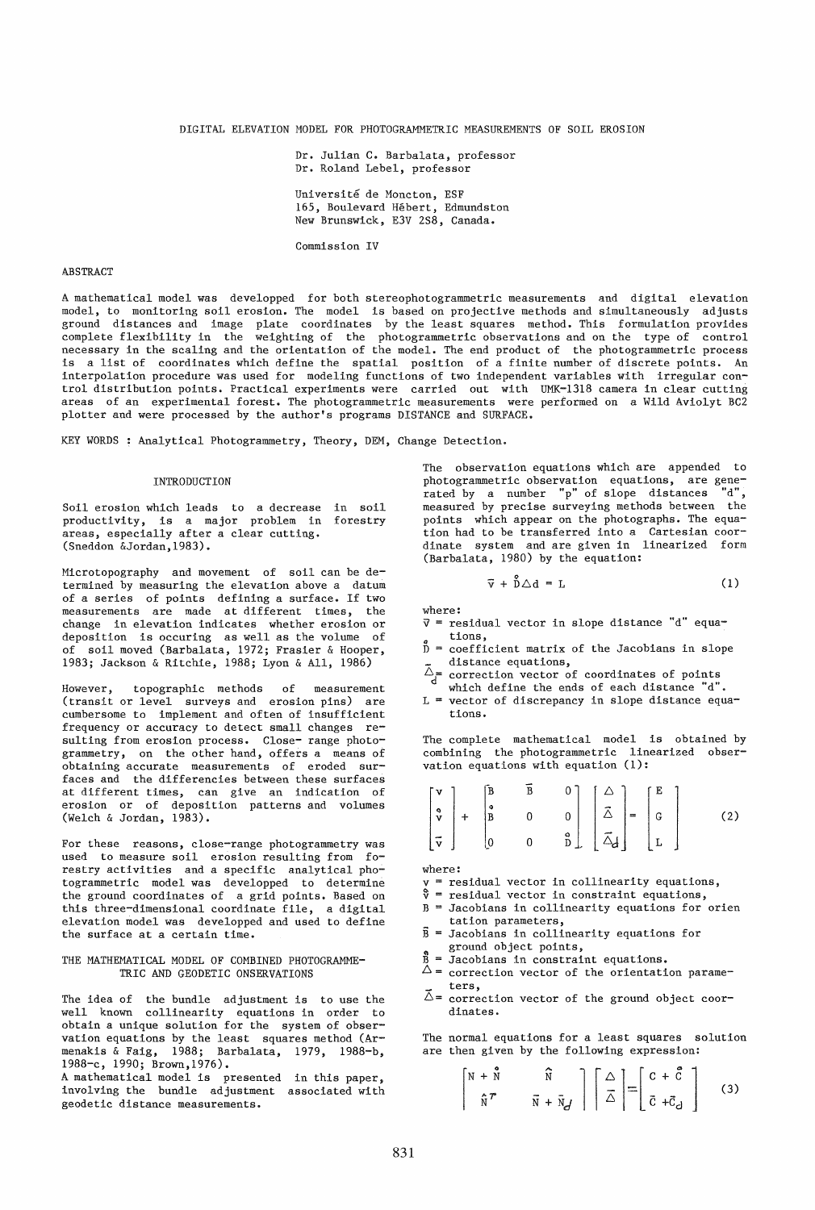DIGITAL ELEVATION HODEL FOR PHOTOGRAMMETRIC MEASUREMENTS OF SOIL EROSION

Dr. Julian C. Barbalata, professor Dr. Roland Lebel, professor Universite de Moncton, ESF 165, Boulevard Hebert, Edmundston New Brunswick, E3V 2S8, Canada.

Commission IV

## ABSTRACT

A mathematical model was developped for both stereophotogrammetric measurements and digital elevation model, to monitoring soil erosion. The model is based on projective methods and simultaneously adjusts ground distances and image plate coordinates by the least squares method. This formulation provides complete flexibility in the weighting of the photogrammetric observations and on the type of control necessary in the scaling and the orientation of the model. The end product of the photogrammetric process is a list of coordinates which define the spatial position of a finite number of discrete points. An interpolation procedure was used for modeling functions of two independent variables with irregular control distribution points. Practical experiments were carried out with UMK-1318 camera in clear cutting areas of an experimental forest. The photogrammetric measurements were performed on a Wild Aviolyt BC2 plotter and were processed by the author's programs DISTANCE and SURFACE.

KEY WORDS: Analytical Photogrammetry, Theory, DEM, Change Detection.

### INTRODUCTION

Soil erosion which leads to a decrease in soil productivity, is a major problem in forestry areas, especially after a clear cutting. (Sneddon &Jordan,1983).

Microtopography and movement of soil can be determined by measuring the elevation above a datum of a series of points defining a surface. If two measurements are made at different times, the change in elevation indicates whether erosion or deposition is occuring as well as the volume of of soil moved (Barbalata, 1972; Frasier & Hooper, 1983; Jackson & Ritchie, 1988; Lyon & All, 1986)

However, topographic methods of measurement (transit or level surveys and erosion pins) are cumbersome to implement and often of insufficient frequency or accuracy to detect small changes resulting from erosion process. Close- range photogrammetry, on the other hand, offers a means of obtaining accurate measurements of eroded surfaces and the differencies between these surfaces at different times, can give an indication of erosion or of deposition patterns and volumes (Welch & Jordan, 1983).

For these reasons, close-range photogrammetry was used to measure soil erosion resulting from forestry activities and a specific analytical photogrammetric model was developped to determine the ground coordinates of a grid points. Based on this three-dimensional coordinate file, a digital elevation model was developped and used to define the surface at a certain time.

# THE MATHEMATICAL MODEL OF COMBINED PHOTOGRAMME-TRIC AND GEODETIC ONSERVATIONS

The idea of the bundle adjustment is to use the well known collinearity equations in order to obtain a unique solution for the system of observation equations by the least squares method (Armenakis & Faig, 1988; Barbalata, 1979, 1988-b, 1988-c, 1990; Brown,1976).

A mathematical model is presented in this paper, involving the bundle adjustment associated with geodetic distance measurements.

The observation equations which are appended to photogrammetric observation equations, are generated by a number "p" of slope distances "d", measured by precise surveying methods between the points which appear on the photographs. The equation had to be transferred into a Cartesian coordinate system and are given in linearized form (Barbalata, 1980) by the equation:

$$
\vec{v} + \hat{D} \triangle d = L \tag{1}
$$

where:

- $\vec{v}$  = residual vector in slope distance "d" equations,
- $\bar{D}$  = coefficient matrix of the Jacobians in slope distance equations,
- $\tilde{\Delta}$ = correction vector of coordinates of points
- which define the ends of each distance  $"d"$ .  $L =$  vector of discrepancy in slope distance equa-
- tions.

The complete mathematical model is obtained by combining the photogrammetric linearized observation equations with equation (1):

$$
\begin{bmatrix} \mathbf{v} \\ \mathbf{v} \\ \mathbf{v} \\ \mathbf{v} \end{bmatrix} + \begin{bmatrix} \mathbf{B} & \mathbf{B} & \mathbf{0} \\ \mathbf{B} & \mathbf{0} & \mathbf{0} \\ \mathbf{B} & \mathbf{0} & \mathbf{0} \\ \mathbf{0} & \mathbf{0} & \mathbf{B} \end{bmatrix} \begin{bmatrix} \Delta \\ \tilde{\Delta} \\ \tilde{\Delta} \\ \mathbf{d} \end{bmatrix} = \begin{bmatrix} \mathbf{E} \\ \mathbf{G} \\ \mathbf{L} \end{bmatrix} \tag{2}
$$

where:

[

- $v =$  residual vector in collinearity equations,
- $\hat{v}$  = residual vector in constraint equations,
- B Jacobians in collinearity equations for orien tation parameters,
- $\overline{B}$  = Jacobians in collinearity equations for ground object points,
- $\beta$  = Jacobians in constraint equations.
- $\Delta$  = correction vector of the orientation parameters,
- $\overrightarrow{\Delta}$  = correction vector of the ground object coordinates.

The normal equations for a least squares solution are then given by the following expression:

$$
\begin{array}{ccc}\nN + \overset{\circ}{N} & & \widehat{N} \\
\uparrow & & \bar{N} + \bar{N}_d\n\end{array}\n\bigg|\n\bigg[\n\overset{\triangle}{\triangle}\n\bigg] =\n\bigg[\n\overset{\triangle}{c} + \overset{\triangle}{c}_d\n\bigg]\n\tag{3}
$$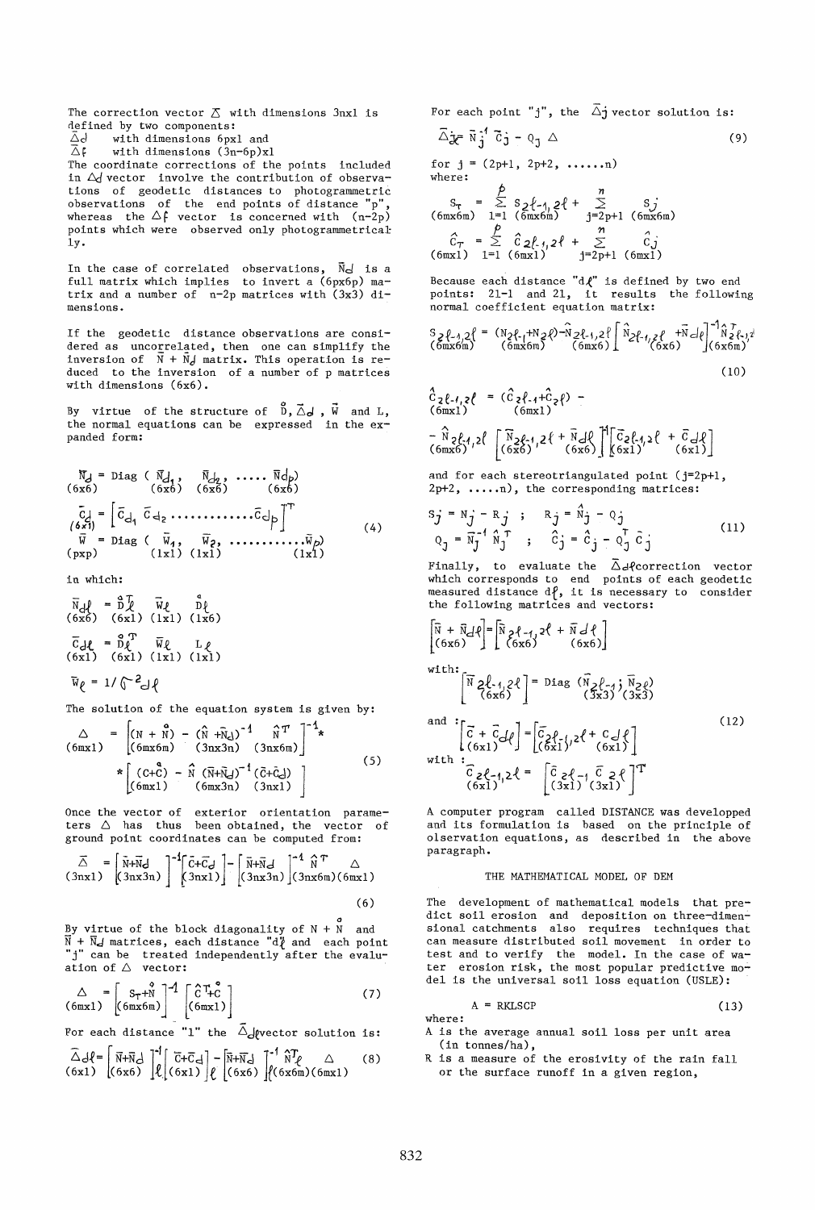The correction vector  $\Delta$  with dimensions 3nxl is defined by two components:<br> $\bar{\Delta}d$  with dimensions  $6px$  $\overline{\triangle}$ d with dimensions 6pxl and<br> $\overline{\triangle}$ f with dimensions (3n-6p)x with dimensions  $(3n-6p)x1$ The coordinate corrections of the points included in  $\Delta$  vector involve the contribution of observations of geodetic distances to photogrammetric observations of the end points of distance "p",<br>whereas the  $\Delta f$  vector is concerned with  $(n-2p)$ 

1y. In the case of correlated observations,  $\vec{N}_d$  is a full matrix which implies to invert a (6px6p) matrix and a number of  $n-2p$  matrices with  $(3x3)$  dimensions.

points which were observed only photogrammetrical

If the geodetic distance observations are considered as uncorre1ated, then one can simplify the inversion of  $\overrightarrow{N}$  +  $\overrightarrow{N}$ *d* matrix. This operation is reduced to the inversion of a number of p matrices with dimensions (6x6).

By virtue of the structure of  $\vec{D}, \vec{\triangle}$ ,  $\vec{W}$  and L, the normal equations can be expressed in the expanded form:

$$
\overline{N}_d = \text{Diag} \quad (\overline{N}_d, \overline{N}_d, \dots, \overline{N}_d)
$$
\n
$$
(6x6) \quad (6x6) \quad (6x7)
$$
\n
$$
\overline{C}_d = \begin{bmatrix} \overline{C}_d & \overline{C}_{d_2} & \dots & \dots & \overline{C}_{d_p} \\ \overline{C}_{d_1} & \overline{C}_{d_2} & \dots & \dots & \overline{C}_{d_p} \end{bmatrix}^T
$$
\n
$$
(\overline{N} = \text{Diag} \quad (\overline{N}_d, \overline{N}_2, \dots, \dots, \overline{N}_p)
$$
\n
$$
(1x1) \quad (1x1) \quad (1x1)
$$
\n
$$
(1x2)
$$

in which:

 $\vec{N}_d\ell = \vec{D}\vec{\ell}$   $\vec{W}\ell$   $\vec{D}\ell$ <br>
(6x6) (6x1) (1x1) (1x6)  $\overline{C}_c$ **{** =  $\overline{D}_c^T$   $\overline{W}_c$  L<sub>{</sub><br>(6xl) (6xl) (1xl) (1xl)  $\bar{w}_{\ell} = 1/\sqrt{c^2}d\ell$ 

The solution of the equation system is given by:

$$
\Delta = \left[ (N + \stackrel{\circ}{N}) - (\stackrel{\circ}{N} + \stackrel{\circ}{N})^{-1} \stackrel{\circ}{N}^T \right]^{-1} \star
$$
  
\n(6mx1)  
\n
$$
* \left[ (G + \stackrel{\circ}{C}) - \stackrel{\circ}{N} (\stackrel{\circ}{N} + \stackrel{\circ}{N})^{-1} (\stackrel{\circ}{C} + \stackrel{\circ}{C} - \stackrel{\circ}{N}) \right]
$$
  
\n(5)  
\n(6mx1)  
\n(6mx3n)  
\n(3nx1)

Once the vector of exterior orientation parameters  $\triangle$  has thus been obtained, the vector of ground point coordinates can be computed from:

$$
\overrightarrow{\Delta} = \begin{bmatrix} \overrightarrow{N} + \overrightarrow{N}d \\ (3nx3n) \end{bmatrix}^{-1} \begin{bmatrix} \overrightarrow{C} + \overrightarrow{C}d \\ (3nx1) \end{bmatrix} - \begin{bmatrix} \overrightarrow{N} + \overrightarrow{N}d \\ (3nx3n) \end{bmatrix}^{-1} \begin{bmatrix} \overrightarrow{N} + \overrightarrow{N} & \Delta \\ (3nx6m)(6mx1) \end{bmatrix}
$$
\n(6)

o By virtue of the block diagona1ity of N + Nand  $\bar{N}$  +  $\bar{N}$  d matrices, each distance "d $\bar{\ell}$  and each point "j" can be treated independently after the evaluation of  $\triangle$  vector:

$$
\triangle = \begin{bmatrix} S_{T} + N \\ (6mx1) \end{bmatrix}^{-1} \begin{bmatrix} C T_{+}^{0} \\ (6mx1) \end{bmatrix}
$$
 (7)

For each distance "1" the  $\tilde{\triangle}$ devector solution is:

$$
\widehat{\triangle} d\left\{ = \begin{bmatrix} \overrightarrow{N} + \overrightarrow{N} & \overrightarrow{d} \\ \overrightarrow{N} + \overrightarrow{N} & \overrightarrow{d} \end{bmatrix} \begin{bmatrix} \overrightarrow{C} + \overrightarrow{C} & \overrightarrow{d} \\ \overrightarrow{C} + \overrightarrow{C} & \overrightarrow{d} \end{bmatrix} - \begin{bmatrix} \overrightarrow{N} + \overrightarrow{N} & \overrightarrow{d} \\ \overrightarrow{C} & \overrightarrow{C} & \overrightarrow{C} \end{bmatrix} \begin{bmatrix} \overrightarrow{A} & \overrightarrow{C} & \overrightarrow{C} \\ \overrightarrow{C} & \overrightarrow{C} & \overrightarrow{C} \end{bmatrix} \tag{8}
$$

For each point "j", the  $\overrightarrow{\Delta}$ j vector solution is:

$$
\overline{\Delta} \mathbf{j} = \overline{\mathbf{N}} \mathbf{j}' \overline{\mathbf{G}} \mathbf{j} - \mathbf{Q}_1 \Delta \tag{9}
$$

for  $j = (2p+1, 2p+2, \ldots, n)$ where:

p *<sup>n</sup>*  $S_{\tau} = \sum_{i=1}^{n} S_{i}^{2} \{-1, 2\} + \sum_{j=2p+1}^{n} S_{j}^{2}$ <br>
(6mx6m) 1=1 (6mx6m) j=2p+1 (6mx6m)  $\hat{C}_T = \sum_{i=1}^{p} \hat{C}_2 f_i, 2f + \sum_{j=2p+1}^{n} \hat{C}_j$ <br>
(6mx1) 1=1 (6mx1) j=2p+1 (6mx1)

Because each distance " $d\ell$ " is defined by two end points: 21-1 and 21, it results the following normal coefficient equation matrix:

$$
S_{2}\ell_{-1,2}\ell = (N_{2}\ell_{-1}+N_{2}\ell)^{-1}\Omega_{2}\ell_{-1,2}\ell \int_{(\text{6mx6})}^{N_{2}\ell_{-1,2}\ell} \left[\begin{array}{cc} \hat{N}_{2}\ell_{-1,2}\ell & +\bar{N}_{-1}\ell \\ \hat{N}_{2}\ell_{-1,2}\ell & (\text{6mx6}) \end{array}\right]^{-(N_{2}\ell_{-1,2})} (\text{6x6})^{-(N_{2}\ell_{-1,2})} \tag{10}
$$

$$
\hat{C}_{2}\ell_{-1,2}\ell = (\hat{C}_{2}\ell_{-1}+\hat{C}_{2}\ell) - (\text{6mx1})
$$
\n
$$
(\text{6mx1})^2 = (\hat{C}_{2}\ell_{-1}+\hat{C}_{2}\ell) - (\text{6mx2})^2 = (\hat{C}_{2}\ell_{-1,2}\ell_{-1,2}\ell_{-1,2}\ell_{-1,2}\ell_{-1,2}\ell_{-1,2}\ell_{-1,2}\ell_{-1,2}\ell_{-1,2}\ell_{-1,2}\ell_{-1,2}\ell_{-1,2}\ell_{-1,2}\ell_{-1,2}\ell_{-1,2}\ell_{-1,2}\ell_{-1,2}\ell_{-1,2}\ell_{-1,2}\ell_{-1,2}\ell_{-1,2}\ell_{-1,2}\ell_{-1,2}\ell_{-1,2}\ell_{-1,2}\ell_{-1,2}\ell_{-1,2}\ell_{-1,2}\ell_{-1,2}\ell_{-1,2}\ell_{-1,2}\ell_{-1,2}\ell_{-1,2}\ell_{-1,2}\ell_{-1,2}\ell_{-1,2}\ell_{-1,2}\ell_{-1,2}\ell_{-1,2}\ell_{-1,2}\ell_{-1,2}\ell_{-1,2}\ell_{-1,2}\ell_{-1,2}\ell_{-1,2}\ell_{-1,2}\ell_{-1,2}\ell_{-1,2}\ell_{-1,2}\ell_{-1,2}\ell_{-1,2}\ell_{-1,2}\ell_{-1,2}\ell_{-1,2}\ell_{-1,2}\ell_{-1,2}\ell_{-1,2}\ell_{-1,2}\ell_{-1,2}\ell_{-1,2}\ell_{-1,2}\ell_{-1,2}\ell_{-1,2}\ell_{-1,2}\ell_{-1,2}\ell_{-1,2}\ell_{-1,2}\ell_{-1,2}\ell_{-1,2}\ell_{-1,2}\ell_{-1,2}\ell_{-1,2}\ell_{-1,2}\ell_{-1,2}\ell_{-1,2}\ell_{-1,2}\ell_{-1,2}\ell_{-1,2}\ell_{-1,2}\ell_{-1,2}\ell_{-1,2}\ell_{-1,2}\ell_{-1,2}\ell_{-1,2}\ell_{-1,2}\ell_{-1,2}\ell_{-1,2}\ell_{-1,2}\ell_{-1,2}\ell_{-1,2}\ell_{-1,2}\ell_{-1,2}\ell_{-1,2}\ell_{-1,
$$

and for each stereotriangulated point (j=2p+1, 2p+2, .....n), the corresponding matrices:

$$
S_j = N_j - R_j; \t R_j = N_j - Q_j
$$
  
\n
$$
Q_j = \overline{N}_j^{-1} \widehat{N}_j^T; \t \widehat{C}_j = \widehat{C}_j - Q_j^T \widehat{C}_j
$$
\n(11)

Finally, to evaluate the  $\bar{\triangle}$ dfcorrection vector which corresponds to end points of each geodetic measured distance  $df$ , it is necessary to consider the following matrices and vectors:

 $\sim$ 

$$
\begin{bmatrix}\n\overline{N} + \overline{N}d\ell \\
(6x6)\n\end{bmatrix} = \begin{bmatrix}\n\overline{N} & 2\ell - 1 & 2\ell + \overline{N}d\ell \\
(6x6)\n\end{bmatrix}
$$
\nwith:  
\n
$$
\begin{bmatrix}\n\overline{N} & 2\ell - 1 & 2\ell \\
(6x6)\n\end{bmatrix} = \text{Diag} \begin{bmatrix}\n\overline{N} & 2\ell - 1 & \overline{N} & 2\ell \\
(6x6)\n\end{bmatrix}
$$
\nand  
\n
$$
\begin{bmatrix}\n\overline{C} + \overline{C}d\ell \\
(6x1)\n\end{bmatrix} = \begin{bmatrix}\n\overline{C} & 2\ell - 1 & 2\ell + C & d\ell \\
(6x1)^2 & (6x1)^2\n\end{bmatrix}
$$
\nwith  
\n
$$
\begin{bmatrix}\n\overline{C} & 2\ell - 1 & 2\ell \\
(6x1)^2 & (3x1)^2 & (3x1)\n\end{bmatrix}^T
$$

<sup>A</sup>computer program called DISTANCE was deve10pped and its formulation is based on the principle of olservation equations, as described in the above paragraph.

# THE MATHEMATICAL MODEL OF DEM

The development of mathematical models that predict soil erosion and deposition on three-dimensional catchments also requires techniques that can measure distributed soil movement in order to test and to verify the model. In the case of water erosion risk, the most popular predictive model is the universal soil loss equation (USLE):

$$
A = RKLSCP \tag{13}
$$

where:

- A is the average annual soil loss per unit area  $(in$  tonnes/ha),
- R is a measure of the erosivity of the rain fall or the surface runoff in a given region,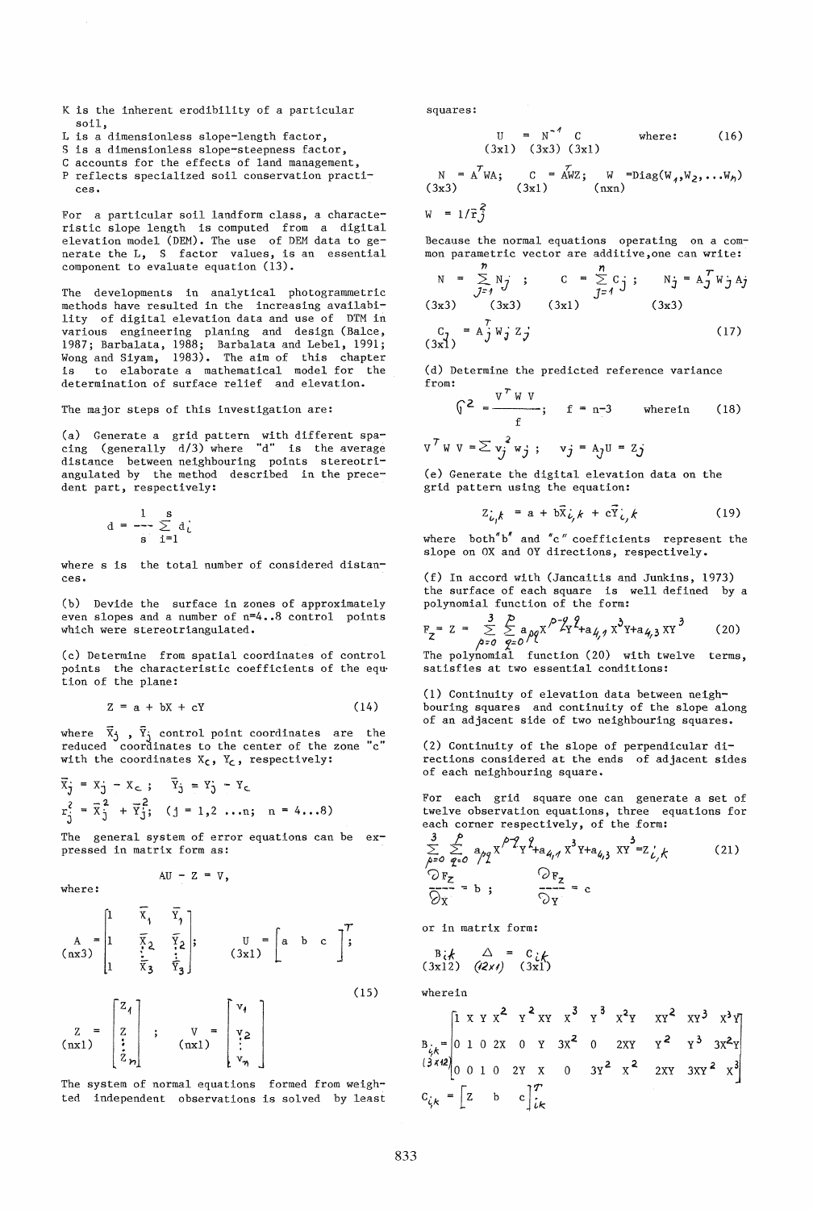- K is the inherent erodibility of a particular soil,
- L is a dimensionless slope-length factor,
- S is a dimensionless slope-steepness factor,
- C accounts for the effects of land management, P reflects specialized soil conservation practices.

For a particular soil landform class, a characteristic slope length is computed from a digital elevation model (DEM). The use of DEM data to generate the L, S factor values, is an essential component to evaluate equation (13).

The developments in analytical photogrammetric methods have resulted in the increasing availability of digital elevation data and use of DTM in various engineering planing and design (Balce, 1987; Barbalata, 1988; Barbalata and Lebel, 1991; Wong and Siyam, 1983). The aim of this chapter is to elaborate a mathematical model for the determination of surface relief and elevation.

The major steps of this investigation are:

(a) Generate a grid pattern with different spacing (generally d/3) where "d" is the average distance between neighbouring points stereotriangulated by the method described in the precedent part, respectively:

$$
d = \frac{1}{s} \sum_{i=1}^{s} d_i
$$

where s is the total number of considered distances. (f) In accord with (Jancaitis and Junkins, 1973)

(b) Devide the surface in zones of approximately even slopes and a number of n=4 •• 8 control points which were stereotriangulated.

(c) Determine from spatial coordinates of control points the characteristic coefficients of the eqution of the plane:

$$
Z = a + bX + cY \tag{14}
$$

where  $\bar{x}_j$  ,  $\bar{y}_j$  control point coordinates are the reduced coordinates to the center of the zone "c" with the coordinates  $X_c$ ,  $Y_c$ , respectively:

$$
\vec{x}_j = x_j - x_c; \quad \vec{Y}_j = Y_j - Y_c
$$
  
\n
$$
r_j^2 = \vec{x}_j^2 + \vec{Y}_j^2; \quad (j = 1, 2 \dots n; \quad n = 4...8)
$$

The general system of error equations can be expressed in matrix form as:

AU -  $Z = V$ ,

where:

$$
\begin{pmatrix}\nA & = \begin{bmatrix}\n1 & \overline{x}_1 & \overline{x}_1 \\
1 & \overline{x}_2 & \overline{x}_2 \\
1 & \overline{x}_3 & \overline{x}_3\n\end{bmatrix}, & \begin{bmatrix}\nU & = \begin{bmatrix}\nA & b & c\n\end{bmatrix}^T;\n\end{pmatrix}
$$
\n
$$
\begin{bmatrix}\nZ_1\n\end{bmatrix}, & \begin{bmatrix}\nV_1\n\end{bmatrix}
$$
\n(15)

$$
\begin{bmatrix} Z \\ Z \\ \vdots \\ Z \\ Z \end{bmatrix} \begin{bmatrix} 24 \\ Z \\ \vdots \\ Z \end{bmatrix} \begin{bmatrix} 24 \\ 1 \\ 1 \\ 1 \end{bmatrix} \begin{bmatrix} 24 \\ 1 \\ 1 \end{bmatrix} \begin{bmatrix} 24 \\ 1 \\ 1 \end{bmatrix}
$$

The system of normal equations formed from weighted independent observations is solved by least squares:

$$
U = N^{-4} C
$$
 where: (16)  
(3x1) (3x3) (3x1)

 $\overline{\text{A}}$ WZ; W =Diag(W<sub>1</sub>,W<sub>2</sub>,...W<sub>n</sub>)<br>(nxn)  $N = A^T W A;$  $C$ <br>(3x1)  $(3x3)$ 

$$
W = 1/\bar{r}_J^2
$$

Because the normal equations operating on a common parametric vector are additive,one can write:

$$
N = \sum_{j=1}^{n} N_j; \tC = \sum_{j=1}^{n} C_j; \tN_j = A_j^T W_j A_j
$$
  
(3x3) (3x3) (3x1) (3x1) (3x3)  

$$
C_j = A_j^T W_j Z_j
$$
 (17)

(d) Determine the predicted reference variance from:  $\sim$ 

$$
\sqrt{x^2} = \frac{v^2 + v^2}{f}; \quad f = n-3 \quad \text{where in} \quad (18)
$$
  

$$
v^T w v = \sum_{j} v_j^2 w_j; \quad v_j = A_j U = Z_j
$$

(e) Generate the digital elevation data on the grid pattern using the equation:

$$
Z_{\dot{L}_i,k} = a + b\bar{X}_{\dot{L}_i,k} + c\bar{Y}_{\dot{L}_i,k}
$$
 (19)

where both" $b''$  and "c" coefficients represent the slope on OX and OY directions, respectively.

the surface of each square is well defined by a

polynomial function of the form:  
\n
$$
F_Z = Z = \sum_{\beta=0}^{3} \sum_{q=0}^{p} a_{\beta q} x^{\beta - 2q} f_{\alpha q} A_{q} x^3 y_{\alpha q} x^3
$$
\n(20)

The polynomial function (20) with twelve terms, satisfies at two essential conditions:

(1) Continuity of elevation data between neighbouring squares and continuity of the slope along of an adjacent side of two neighbouring squares.

(2) Continuity of the slope of perpendicular directions considered at the ends of adjacent sides of each neighbouring square.

For each grid square one can generate a set of twelve observation equations, three equations for each corner respectively, of the form:

$$
\frac{3}{6^{2}} \sum_{q=0}^{P} a_{q} \frac{x}{q^{2}} \left\{ \frac{1}{2} \sum_{\substack{a \neq a \\ a \neq a}} x^{2} \left( \frac{1}{2} \sum_{\substack{r=0 \\ r \geq 0 \\ r \geq 0}} x^{3} \frac{1}{2} \right) + a_{4,3} \left( \frac{1}{2} \sum_{\substack{r=0 \\ r \geq 0 \\ r \geq 0}} x^{3} \right) \right\}
$$
 (21)

or in matrix form:

$$
\begin{array}{cc}\n\text{B}_{i} & \triangle & = c_{i} & \\
\text{(3x12)} & \text{(2x1)} & \text{(3x1)}\n\end{array}
$$

wherein

$$
B_{\xi_{\xi}} = \begin{bmatrix} 1 & x & x & x^{2} & x^{2} & x^{3} & x^{3} & x^{2} & x^{2} & x^{2} & x^{3} & x^{3} & x^{3} \\ 0 & 1 & 0 & 2x & 0 & x & 3x^{2} & 0 & 2x^{2} & x^{2} & x^{3} & 3x^{2} & x^{3} \\ 0 & 0 & 1 & 0 & 2x & x & 0 & 3x^{2} & x^{2} & 2x^{2} & 3x^{2} & x^{3} \\ 0 & 0 & 1 & 0 & 2x & x & 0 & 3x^{2} & x^{2} & 2x^{2} & 3x^{2} & x^{3} \end{bmatrix}
$$
  
\n
$$
C_{\xi_{\xi}} = \begin{bmatrix} z & b & c \end{bmatrix}^{T}_{i\kappa}
$$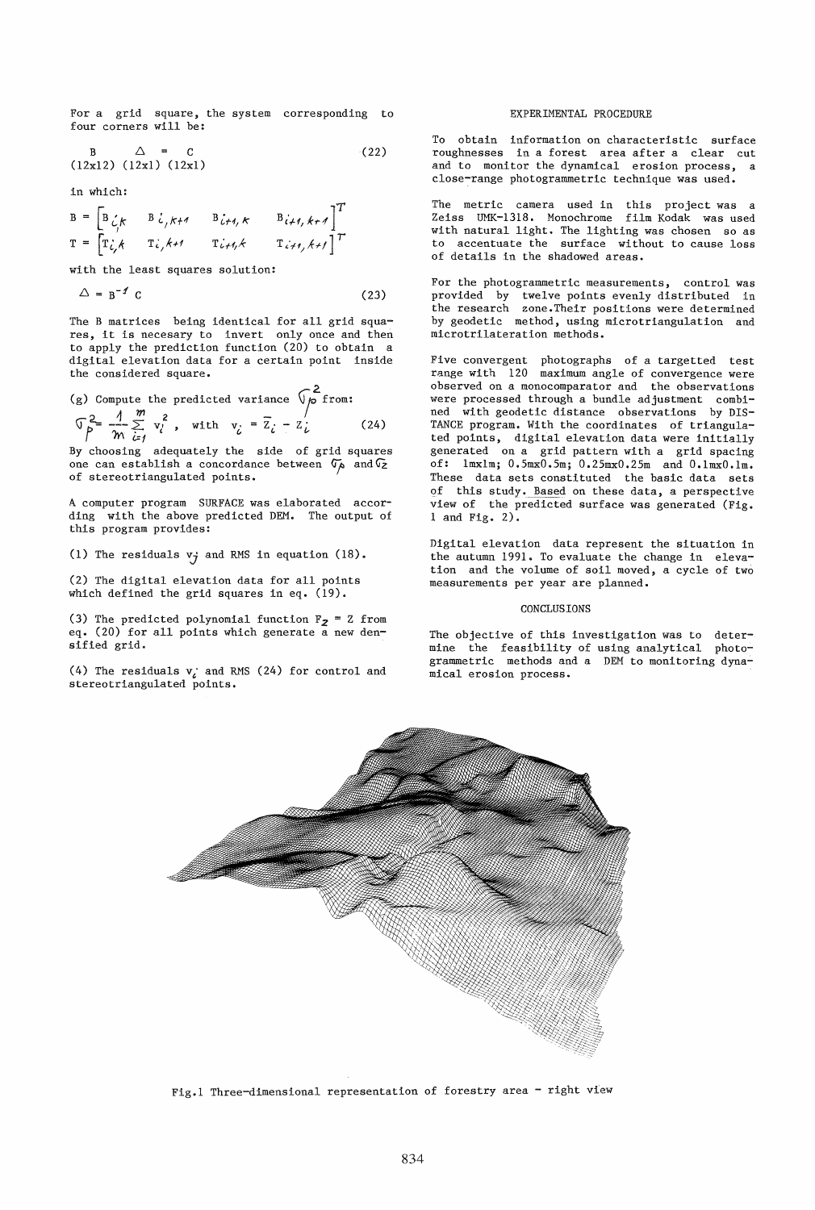For a grid square, the system corresponding to four corners will be:

$$
B \qquad \triangle = C \qquad (22)
$$
  
(12x12) (12x1) (12x1)

in which:

$$
B = \begin{bmatrix} B \zeta_f & B \zeta_f & B \zeta_f \\ T \zeta_f & T \zeta_f & T \zeta_f \zeta_f \end{bmatrix}^T
$$
  
\n
$$
T = \begin{bmatrix} T \zeta_f & T \zeta_f & T \zeta_f \zeta_f \end{bmatrix}^T
$$

with the least squares solution:

$$
\Delta = \mathbf{B}^{-1} \mathbf{C} \tag{23}
$$

The B matrices being identical for all grid squares, it is necesary to invert only once and then to apply the prediction function (20) to obtain a digital elevation data for a certain point inside the considered square.

(g) Compute the predicted variance 
$$
\sqrt{p}
$$
 from:  
\n $\sqrt{p^2 - \frac{1}{m} \sum_{i=1}^{m} x_i^2}$ , with  $v_i = \overline{z}_i - z_i$  (24)

By choosing adequately the side of grid squares one can establish a concordance between  $\sigma_A$  and  $\sigma_Z$ of stereotriangulated points.

A computer program SURFACE was elaborated according with the above predicted DEM. The output of this program provides:

(1) The residuals  $v_j$  and RMS in equation (18).

(2) The digital elevation data for all points which defined the grid squares in eq. (19).

(3) The predicted polynomial function  $F_2 = Z$  from eq. (20) for all points which generate a new densified grid.

(4) The residuals  $v_i$  and RMS (24) for control and stereotriangulated points.

### EXPERIMENTAL PROCEDURE

To obtain information on characteristic surface roughnesses in a forest area after a clear cut and to monitor the dynamical erosion process, a close-range photogrammetric technique was used.

The metric camera used in this project was a Zeiss UMK-1318. Monochrome with natural light. The lighting was chosen so as to accentuate the surface without to cause loss of details in the shadowed areas.

For the photogrammetric measurements, control was provided by twelve points evenly distributed in the research zone. Their positions were determined by geodetic method, using microtriangulation and microtrilateration methods.

Five convergent photographs of a targetted test range with 120 maximum angle of convergence were observed on a monocomparator and the observations were processed through a bundle adjustment combined with geodetic distance observations by DIS-TANCE program. With the coordinates of triangulated points, digital elevation data were initially generated on a grid pattern with a grid spacing of: Imxlm; 0.5mxO.5m; 0.25mxO.25m and O.lmxO.lm. These data sets constituted the basic data sets of this study. Based on these data, a perspective view of the predicted surface was generated (Fig. 1 and Fig. 2).

Digital elevation data represent the situation in the autumn 1991. To evaluate the change in elevation and the volume of soil moved, a cycle of two measurements per year are planned.

## CONCLUSIONS

The objective of this investigation was to determine the feasibility of using analytical photogrammetric methods and a DEM to monitoring dynamical erosion process.



Fig.1 Three-dimensional representation of forestry area - right view